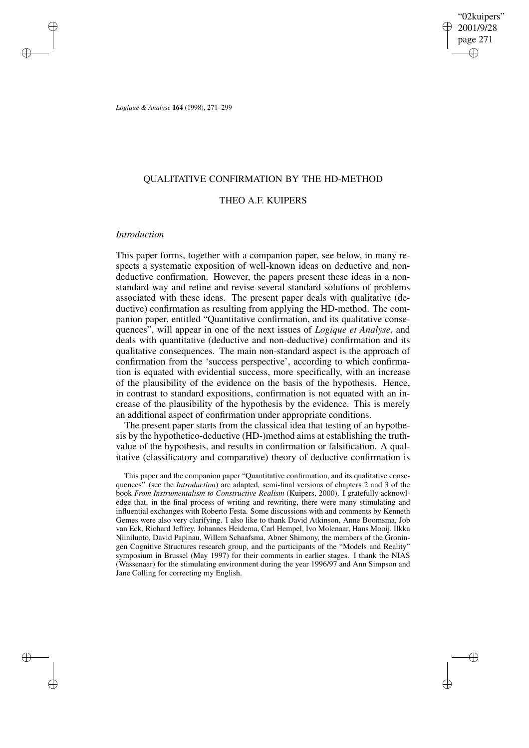## QUALITATIVE CONFIRMATION BY THE HD-METHOD

## THEO A.F. KUIPERS

## *Introduction*

This paper forms, together with a companion paper, see below, in many respects a systematic exposition of well-known ideas on deductive and nondeductive confirmation. However, the papers present these ideas in a nonstandard way and refine and revise several standard solutions of problems associated with these ideas. The present paper deals with qualitative (deductive) confirmation as resulting from applying the HD-method. The companion paper, entitled "Quantitative confirmation, and its qualitative consequences", will appear in one of the next issues of *Logique et Analyse*, and deals with quantitative (deductive and non-deductive) confirmation and its qualitative consequences. The main non-standard aspect is the approach of confirmation from the 'success perspective', according to which confirmation is equated with evidential success, more specifically, with an increase of the plausibility of the evidence on the basis of the hypothesis. Hence, in contrast to standard expositions, confirmation is not equated with an increase of the plausibility of the hypothesis by the evidence. This is merely an additional aspect of confirmation under appropriate conditions.

The present paper starts from the classical idea that testing of an hypothesis by the hypothetico-deductive (HD-)method aims at establishing the truthvalue of the hypothesis, and results in confirmation or falsification. A qualitative (classificatory and comparative) theory of deductive confirmation is

This paper and the companion paper "Quantitative confirmation, and its qualitative consequences" (see the *Introduction*) are adapted, semi-final versions of chapters 2 and 3 of the book *From Instrumentalism to Constructive Realism* (Kuipers, 2000). I gratefully acknowledge that, in the final process of writing and rewriting, there were many stimulating and influential exchanges with Roberto Festa. Some discussions with and comments by Kenneth Gemes were also very clarifying. I also like to thank David Atkinson, Anne Boomsma, Job van Eck, Richard Jeffrey, Johannes Heidema, Carl Hempel, Ivo Molenaar, Hans Mooij, Ilkka Niiniluoto, David Papinau, Willem Schaafsma, Abner Shimony, the members of the Groningen Cognitive Structures research group, and the participants of the "Models and Reality" symposium in Brussel (May 1997) for their comments in earlier stages. I thank the NIAS (Wassenaar) for the stimulating environment during the year 1996/97 and Ann Simpson and Jane Colling for correcting my English.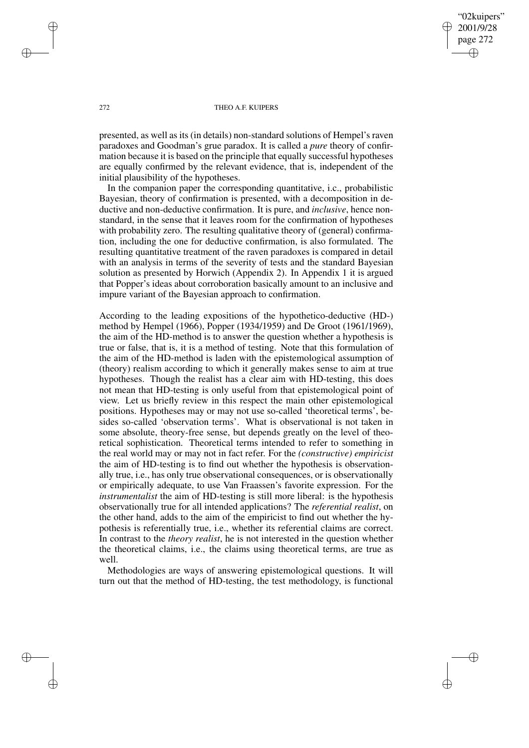presented, as well as its (in details) non-standard solutions of Hempel's raven paradoxes and Goodman's grue paradox. It is called a *pure* theory of confirmation because it is based on the principle that equally successful hypotheses are equally confirmed by the relevant evidence, that is, independent of the initial plausibility of the hypotheses.

In the companion paper the corresponding quantitative, i.c., probabilistic Bayesian, theory of confirmation is presented, with a decomposition in deductive and non-deductive confirmation. It is pure, and *inclusive*, hence nonstandard, in the sense that it leaves room for the confirmation of hypotheses with probability zero. The resulting qualitative theory of (general) confirmation, including the one for deductive confirmation, is also formulated. The resulting quantitative treatment of the raven paradoxes is compared in detail with an analysis in terms of the severity of tests and the standard Bayesian solution as presented by Horwich (Appendix 2). In Appendix 1 it is argued that Popper's ideas about corroboration basically amount to an inclusive and impure variant of the Bayesian approach to confirmation.

According to the leading expositions of the hypothetico-deductive (HD-) method by Hempel (1966), Popper (1934/1959) and De Groot (1961/1969), the aim of the HD-method is to answer the question whether a hypothesis is true or false, that is, it is a method of testing. Note that this formulation of the aim of the HD-method is laden with the epistemological assumption of (theory) realism according to which it generally makes sense to aim at true hypotheses. Though the realist has a clear aim with HD-testing, this does not mean that HD-testing is only useful from that epistemological point of view. Let us briefly review in this respect the main other epistemological positions. Hypotheses may or may not use so-called 'theoretical terms', besides so-called 'observation terms'. What is observational is not taken in some absolute, theory-free sense, but depends greatly on the level of theoretical sophistication. Theoretical terms intended to refer to something in the real world may or may not in fact refer. For the *(constructive) empiricist* the aim of HD-testing is to find out whether the hypothesis is observationally true, i.e., has only true observational consequences, or is observationally or empirically adequate, to use Van Fraassen's favorite expression. For the *instrumentalist* the aim of HD-testing is still more liberal: is the hypothesis observationally true for all intended applications? The *referential realist*, on the other hand, adds to the aim of the empiricist to find out whether the hypothesis is referentially true, i.e., whether its referential claims are correct. In contrast to the *theory realist*, he is not interested in the question whether the theoretical claims, i.e., the claims using theoretical terms, are true as well.

Methodologies are ways of answering epistemological questions. It will turn out that the method of HD-testing, the test methodology, is functional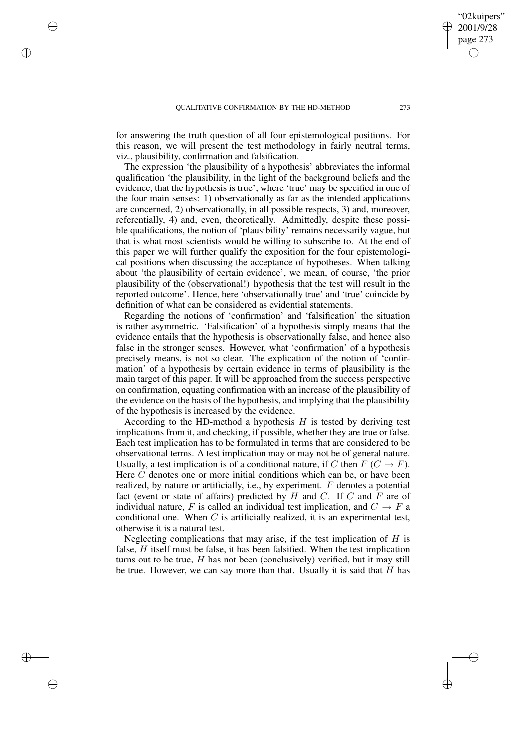for answering the truth question of all four epistemological positions. For this reason, we will present the test methodology in fairly neutral terms, viz., plausibility, confirmation and falsification.

The expression 'the plausibility of a hypothesis' abbreviates the informal qualification 'the plausibility, in the light of the background beliefs and the evidence, that the hypothesis is true', where 'true' may be specified in one of the four main senses: 1) observationally as far as the intended applications are concerned, 2) observationally, in all possible respects, 3) and, moreover, referentially, 4) and, even, theoretically. Admittedly, despite these possible qualifications, the notion of 'plausibility' remains necessarily vague, but that is what most scientists would be willing to subscribe to. At the end of this paper we will further qualify the exposition for the four epistemological positions when discussing the acceptance of hypotheses. When talking about 'the plausibility of certain evidence', we mean, of course, 'the prior plausibility of the (observational!) hypothesis that the test will result in the reported outcome'. Hence, here 'observationally true' and 'true' coincide by definition of what can be considered as evidential statements.

Regarding the notions of 'confirmation' and 'falsification' the situation is rather asymmetric. 'Falsification' of a hypothesis simply means that the evidence entails that the hypothesis is observationally false, and hence also false in the stronger senses. However, what 'confirmation' of a hypothesis precisely means, is not so clear. The explication of the notion of 'confirmation' of a hypothesis by certain evidence in terms of plausibility is the main target of this paper. It will be approached from the success perspective on confirmation, equating confirmation with an increase of the plausibility of the evidence on the basis of the hypothesis, and implying that the plausibility of the hypothesis is increased by the evidence.

According to the HD-method a hypothesis  $H$  is tested by deriving test implications from it, and checking, if possible, whether they are true or false. Each test implication has to be formulated in terms that are considered to be observational terms. A test implication may or may not be of general nature. Usually, a test implication is of a conditional nature, if C then  $F(C \rightarrow F)$ . Here C denotes one or more initial conditions which can be, or have been realized, by nature or artificially, i.e., by experiment.  $F$  denotes a potential fact (event or state of affairs) predicted by  $H$  and  $C$ . If  $C$  and  $F$  are of individual nature, F is called an individual test implication, and  $C \rightarrow F$  a conditional one. When  $C$  is artificially realized, it is an experimental test, otherwise it is a natural test.

Neglecting complications that may arise, if the test implication of  $H$  is false, H itself must be false, it has been falsified. When the test implication turns out to be true,  $H$  has not been (conclusively) verified, but it may still be true. However, we can say more than that. Usually it is said that  $H$  has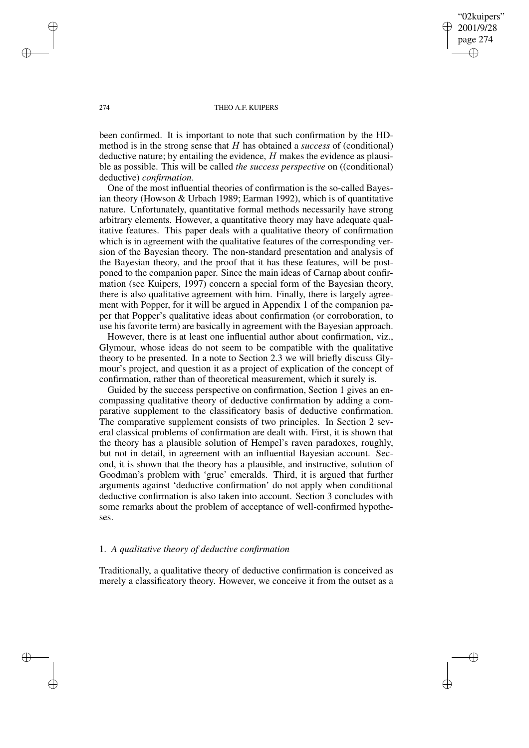been confirmed. It is important to note that such confirmation by the HDmethod is in the strong sense that H has obtained a *success* of (conditional) deductive nature; by entailing the evidence,  $H$  makes the evidence as plausible as possible. This will be called *the success perspective* on ((conditional) deductive) *confirmation*.

One of the most influential theories of confirmation is the so-called Bayesian theory (Howson & Urbach 1989; Earman 1992), which is of quantitative nature. Unfortunately, quantitative formal methods necessarily have strong arbitrary elements. However, a quantitative theory may have adequate qualitative features. This paper deals with a qualitative theory of confirmation which is in agreement with the qualitative features of the corresponding version of the Bayesian theory. The non-standard presentation and analysis of the Bayesian theory, and the proof that it has these features, will be postponed to the companion paper. Since the main ideas of Carnap about confirmation (see Kuipers, 1997) concern a special form of the Bayesian theory, there is also qualitative agreement with him. Finally, there is largely agreement with Popper, for it will be argued in Appendix 1 of the companion paper that Popper's qualitative ideas about confirmation (or corroboration, to use his favorite term) are basically in agreement with the Bayesian approach.

However, there is at least one influential author about confirmation, viz., Glymour, whose ideas do not seem to be compatible with the qualitative theory to be presented. In a note to Section 2.3 we will briefly discuss Glymour's project, and question it as a project of explication of the concept of confirmation, rather than of theoretical measurement, which it surely is.

Guided by the success perspective on confirmation, Section 1 gives an encompassing qualitative theory of deductive confirmation by adding a comparative supplement to the classificatory basis of deductive confirmation. The comparative supplement consists of two principles. In Section 2 several classical problems of confirmation are dealt with. First, it is shown that the theory has a plausible solution of Hempel's raven paradoxes, roughly, but not in detail, in agreement with an influential Bayesian account. Second, it is shown that the theory has a plausible, and instructive, solution of Goodman's problem with 'grue' emeralds. Third, it is argued that further arguments against 'deductive confirmation' do not apply when conditional deductive confirmation is also taken into account. Section 3 concludes with some remarks about the problem of acceptance of well-confirmed hypotheses.

## 1. *A qualitative theory of deductive confirmation*

Traditionally, a qualitative theory of deductive confirmation is conceived as merely a classificatory theory. However, we conceive it from the outset as a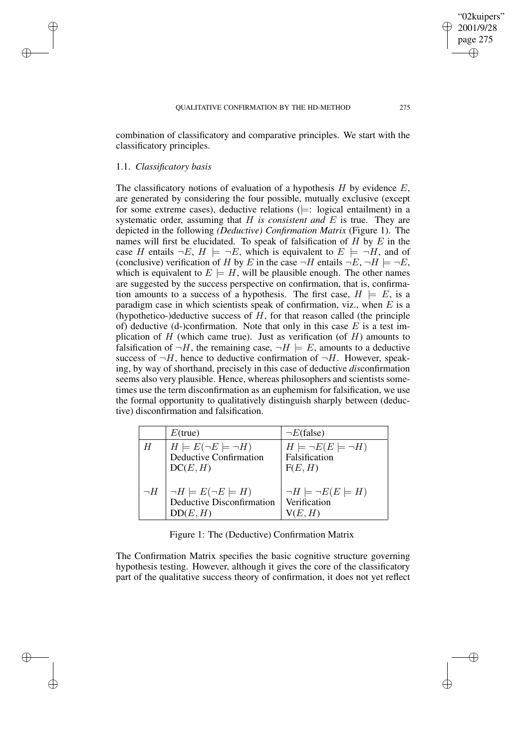combination of classificatory and comparative principles. We start with the classificatory principles.

## 1.1. *Classificatory basis*

The classificatory notions of evaluation of a hypothesis  $H$  by evidence  $E$ , are generated by considering the four possible, mutually exclusive (except for some extreme cases), deductive relations ( $\models$ : logical entailment) in a systematic order, assuming that H *is consistent and* E is true. They are depicted in the following *(Deductive) Confirmation Matrix* (Figure 1). The names will first be elucidated. To speak of falsification of  $H$  by  $E$  in the case H entails  $\neg E$ ,  $H \models \neg E$ , which is equivalent to  $E \models \neg H$ , and of (conclusive) verification of H by E in the case  $\neg H$  entails  $\neg E$ ,  $\neg H \models \neg E$ , which is equivalent to  $E \models H$ , will be plausible enough. The other names are suggested by the success perspective on confirmation, that is, confirmation amounts to a success of a hypothesis. The first case,  $H \models E$ , is a paradigm case in which scientists speak of confirmation, viz., when  $E$  is a (hypothetico-)deductive success of  $H$ , for that reason called (the principle of) deductive (d-)confirmation. Note that only in this case  $E$  is a test implication of H (which came true). Just as verification (of H) amounts to falsification of  $\neg H$ , the remaining case,  $\neg H \models E$ , amounts to a deductive success of  $\neg H$ , hence to deductive confirmation of  $\neg H$ . However, speaking, by way of shorthand, precisely in this case of deductive *dis*confirmation seems also very plausible. Hence, whereas philosophers and scientists sometimes use the term disconfirmation as an euphemism for falsification, we use the formal opportunity to qualitatively distinguish sharply between (deductive) disconfirmation and falsification.

|          | $E$ (true)                                                                                                       | $\neg E$ (false)                                                       |
|----------|------------------------------------------------------------------------------------------------------------------|------------------------------------------------------------------------|
| H        | $H \models E(\neg E \models \neg H)$<br><b>Deductive Confirmation</b><br>DC(E, H)                                | $H \models \neg E(E \models \neg H)$<br>Falsification<br>F(E, H)       |
| $\neg H$ | $\begin{array}{c} \n\neg H \models E(\neg E \models H) \\ \nDeductive Disconfirmation \n\end{array}$<br>DD(E, H) | $\neg H \models \neg E(E \models H)$<br>Verification<br>$V\!E.$ $H\!V$ |

Figure 1: The (Deductive) Confirmation Matrix

The Confirmation Matrix specifies the basic cognitive structure governing hypothesis testing. However, although it gives the core of the classificatory part of the qualitative success theory of confirmation, it does not yet reflect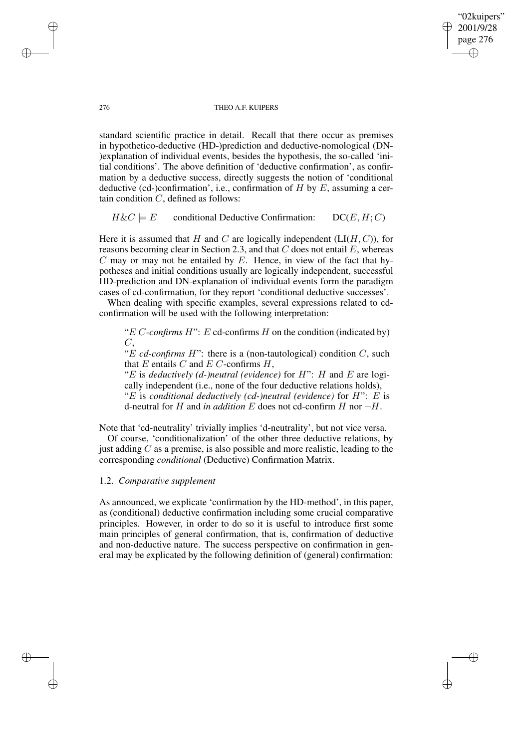standard scientific practice in detail. Recall that there occur as premises in hypothetico-deductive (HD-)prediction and deductive-nomological (DN- )explanation of individual events, besides the hypothesis, the so-called 'initial conditions'. The above definition of 'deductive confirmation', as confirmation by a deductive success, directly suggests the notion of 'conditional deductive (cd-)confirmation', i.e., confirmation of  $H$  by  $E$ , assuming a certain condition  $C$ , defined as follows:

 $H\&C \models E$  conditional Deductive Confirmation:  $DC(E, H; C)$ 

Here it is assumed that H and C are logically independent  $(LI(H, C))$ , for reasons becoming clear in Section 2.3, and that  $C$  does not entail  $E$ , whereas C may or may not be entailed by E. Hence, in view of the fact that hypotheses and initial conditions usually are logically independent, successful HD-prediction and DN-explanation of individual events form the paradigm cases of cd-confirmation, for they report 'conditional deductive successes'.

When dealing with specific examples, several expressions related to cdconfirmation will be used with the following interpretation:

" $E C$ -confirms  $H$ ":  $E$  cd-confirms  $H$  on the condition (indicated by)  $C_{\bullet}$ 

"E *cd-confirms* H": there is a (non-tautological) condition C, such that  $E$  entails  $C$  and  $E$   $C$ -confirms  $H$ ,

"E is *deductively (d-)neutral (evidence)* for H": H and E are logically independent (i.e., none of the four deductive relations holds), "E is *conditional deductively (cd-)neutral (evidence)* for H": E is d-neutral for H and *in addition* E does not cd-confirm H nor  $\neg H$ .

Note that 'cd-neutrality' trivially implies 'd-neutrality', but not vice versa.

Of course, 'conditionalization' of the other three deductive relations, by just adding  $C$  as a premise, is also possible and more realistic, leading to the corresponding *conditional* (Deductive) Confirmation Matrix.

## 1.2. *Comparative supplement*

As announced, we explicate 'confirmation by the HD-method', in this paper, as (conditional) deductive confirmation including some crucial comparative principles. However, in order to do so it is useful to introduce first some main principles of general confirmation, that is, confirmation of deductive and non-deductive nature. The success perspective on confirmation in general may be explicated by the following definition of (general) confirmation: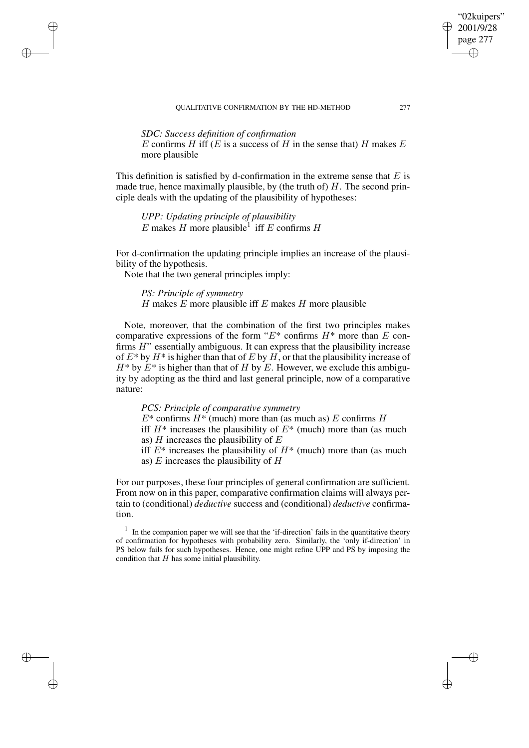*SDC: Success definition of confirmation* E confirms H iff  $(E$  is a success of H in the sense that) H makes E more plausible

This definition is satisfied by d-confirmation in the extreme sense that  $E$  is made true, hence maximally plausible, by (the truth of)  $H$ . The second principle deals with the updating of the plausibility of hypotheses:

*UPP: Updating principle of plausibility* E makes H more plausible<sup>1</sup> iff E confirms H

For d-confirmation the updating principle implies an increase of the plausibility of the hypothesis.

Note that the two general principles imply:

*PS: Principle of symmetry* H makes  $E$  more plausible iff  $E$  makes  $H$  more plausible

Note, moreover, that the combination of the first two principles makes comparative expressions of the form " $E^*$  confirms  $H^*$  more than E confirms  $H$ " essentially ambiguous. It can express that the plausibility increase of  $E^*$  by  $H^*$  is higher than that of E by H, or that the plausibility increase of  $H^*$  by  $E^*$  is higher than that of H by E. However, we exclude this ambiguity by adopting as the third and last general principle, now of a comparative nature:

*PCS: Principle of comparative symmetry*  $E^*$  confirms  $H^*$  (much) more than (as much as) E confirms H iff  $H^*$  increases the plausibility of  $E^*$  (much) more than (as much as)  $H$  increases the plausibility of  $E$ iff  $E^*$  increases the plausibility of  $H^*$  (much) more than (as much as)  $E$  increases the plausibility of  $H$ 

For our purposes, these four principles of general confirmation are sufficient. From now on in this paper, comparative confirmation claims will always pertain to (conditional) *deductive* success and (conditional) *deductive* confirmation.

<sup>1</sup> In the companion paper we will see that the 'if-direction' fails in the quantitative theory of confirmation for hypotheses with probability zero. Similarly, the 'only if-direction' in PS below fails for such hypotheses. Hence, one might refine UPP and PS by imposing the condition that  $H$  has some initial plausibility.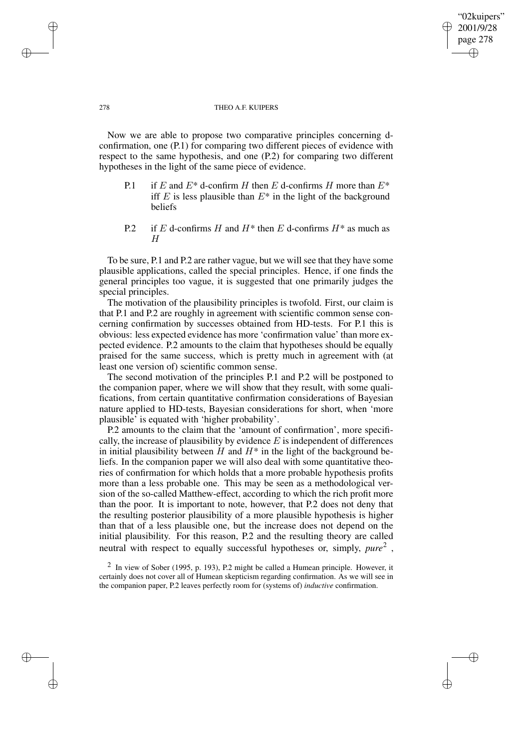Now we are able to propose two comparative principles concerning dconfirmation, one (P.1) for comparing two different pieces of evidence with respect to the same hypothesis, and one (P.2) for comparing two different hypotheses in the light of the same piece of evidence.

- P.1 if E and  $E^*$  d-confirm H then E d-confirms H more than  $E^*$ iff  $E$  is less plausible than  $E^*$  in the light of the background beliefs
- P.2 if E d-confirms H and  $H^*$  then E d-confirms  $H^*$  as much as  $H$

To be sure, P.1 and P.2 are rather vague, but we will see that they have some plausible applications, called the special principles. Hence, if one finds the general principles too vague, it is suggested that one primarily judges the special principles.

The motivation of the plausibility principles is twofold. First, our claim is that P.1 and P.2 are roughly in agreement with scientific common sense concerning confirmation by successes obtained from HD-tests. For P.1 this is obvious: less expected evidence has more 'confirmation value' than more expected evidence. P.2 amounts to the claim that hypotheses should be equally praised for the same success, which is pretty much in agreement with (at least one version of) scientific common sense.

The second motivation of the principles P.1 and P.2 will be postponed to the companion paper, where we will show that they result, with some qualifications, from certain quantitative confirmation considerations of Bayesian nature applied to HD-tests, Bayesian considerations for short, when 'more plausible' is equated with 'higher probability'.

P.2 amounts to the claim that the 'amount of confirmation', more specifically, the increase of plausibility by evidence  $E$  is independent of differences in initial plausibility between H and  $H^*$  in the light of the background beliefs. In the companion paper we will also deal with some quantitative theories of confirmation for which holds that a more probable hypothesis profits more than a less probable one. This may be seen as a methodological version of the so-called Matthew-effect, according to which the rich profit more than the poor. It is important to note, however, that P.2 does not deny that the resulting posterior plausibility of a more plausible hypothesis is higher than that of a less plausible one, but the increase does not depend on the initial plausibility. For this reason, P.2 and the resulting theory are called neutral with respect to equally successful hypotheses or, simply, *pure* 2 ,

 $2 \text{ In view of Sober (1995, p. 193), P.2 might be called a Humean principle. However, it$ certainly does not cover all of Humean skepticism regarding confirmation. As we will see in the companion paper, P.2 leaves perfectly room for (systems of) *inductive* confirmation.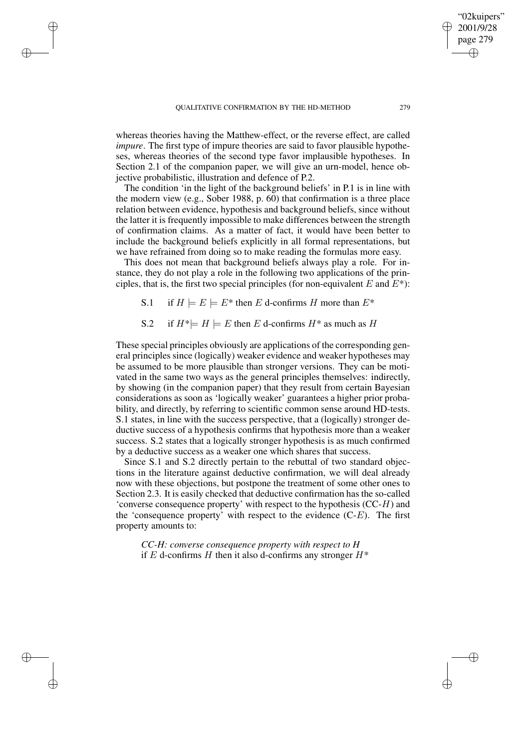whereas theories having the Matthew-effect, or the reverse effect, are called *impure*. The first type of impure theories are said to favor plausible hypotheses, whereas theories of the second type favor implausible hypotheses. In Section 2.1 of the companion paper, we will give an urn-model, hence objective probabilistic, illustration and defence of P.2.

The condition 'in the light of the background beliefs' in P.1 is in line with the modern view (e.g., Sober 1988, p. 60) that confirmation is a three place relation between evidence, hypothesis and background beliefs, since without the latter it is frequently impossible to make differences between the strength of confirmation claims. As a matter of fact, it would have been better to include the background beliefs explicitly in all formal representations, but we have refrained from doing so to make reading the formulas more easy.

This does not mean that background beliefs always play a role. For instance, they do not play a role in the following two applications of the principles, that is, the first two special principles (for non-equivalent  $E$  and  $E^*$ ):

- S.1 if  $H \models E \models E^*$  then E d-confirms H more than  $E^*$
- S.2 if  $H^* \models H \models E$  then E d-confirms  $H^*$  as much as H

These special principles obviously are applications of the corresponding general principles since (logically) weaker evidence and weaker hypotheses may be assumed to be more plausible than stronger versions. They can be motivated in the same two ways as the general principles themselves: indirectly, by showing (in the companion paper) that they result from certain Bayesian considerations as soon as 'logically weaker' guarantees a higher prior probability, and directly, by referring to scientific common sense around HD-tests. S.1 states, in line with the success perspective, that a (logically) stronger deductive success of a hypothesis confirms that hypothesis more than a weaker success. S.2 states that a logically stronger hypothesis is as much confirmed by a deductive success as a weaker one which shares that success.

Since S.1 and S.2 directly pertain to the rebuttal of two standard objections in the literature against deductive confirmation, we will deal already now with these objections, but postpone the treatment of some other ones to Section 2.3. It is easily checked that deductive confirmation has the so-called 'converse consequence property' with respect to the hypothesis  $(CC-H)$  and the 'consequence property' with respect to the evidence  $(C-E)$ . The first property amounts to:

*CC-H: converse consequence property with respect to H* if E d-confirms H then it also d-confirms any stronger  $H^*$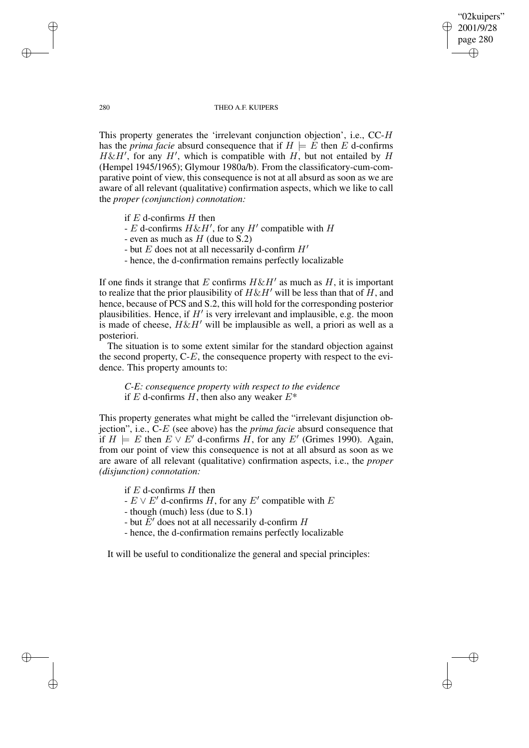This property generates the 'irrelevant conjunction objection', i.e., CC-H has the *prima facie* absurd consequence that if  $H \models E$  then E d-confirms  $H \& H'$ , for any H', which is compatible with H<sub>i</sub>, but not entailed by H (Hempel 1945/1965); Glymour 1980a/b). From the classificatory-cum-comparative point of view, this consequence is not at all absurd as soon as we are aware of all relevant (qualitative) confirmation aspects, which we like to call the *proper (conjunction) connotation:*

if  $E$  d-confirms  $H$  then

- E d-confirms  $H \& H'$ , for any H' compatible with H
- even as much as  $H$  (due to S.2)
- but  $E$  does not at all necessarily d-confirm  $H'$
- hence, the d-confirmation remains perfectly localizable

If one finds it strange that E confirms  $H \& H'$  as much as H, it is important to realize that the prior plausibility of  $H \& H'$  will be less than that of  $H$ , and hence, because of PCS and S.2, this will hold for the corresponding posterior plausibilities. Hence, if  $H'$  is very irrelevant and implausible, e.g. the moon is made of cheese,  $H \& H'$  will be implausible as well, a priori as well as a posteriori.

The situation is to some extent similar for the standard objection against the second property,  $C-E$ , the consequence property with respect to the evidence. This property amounts to:

*C-E: consequence property with respect to the evidence* if E d-confirms H, then also any weaker  $E^*$ 

This property generates what might be called the "irrelevant disjunction objection", i.e., C-E (see above) has the *prima facie* absurd consequence that if  $H \models E$  then  $E \lor E'$  d-confirms  $H$ , for any  $E'$  (Grimes 1990). Again, from our point of view this consequence is not at all absurd as soon as we are aware of all relevant (qualitative) confirmation aspects, i.e., the *proper (disjunction) connotation:*

if  $E$  d-confirms  $H$  then

- $-E \vee E'$  d-confirms H, for any E' compatible with E
- though (much) less (due to S.1)
- but  $E'$  does not at all necessarily d-confirm  $H$
- hence, the d-confirmation remains perfectly localizable

It will be useful to conditionalize the general and special principles: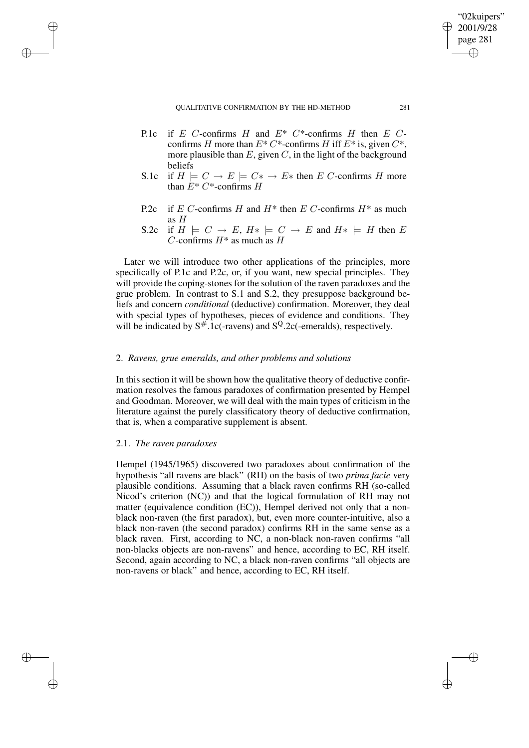- P.1c if E C-confirms H and  $E^*$  C\*-confirms H then E Cconfirms H more than  $E^* C^*$ -confirms H iff  $E^*$  is, given  $C^*$ , more plausible than  $E$ , given  $C$ , in the light of the background beliefs
- S.1c if  $H \models C \rightarrow E \models C^* \rightarrow E^*$  then E C-confirms H more than  $E^* C^*$ -confirms H
- P.2c if E C-confirms H and  $H^*$  then E C-confirms  $H^*$  as much as H
- S.2c if  $H \models C \rightarrow E$ ,  $H* \models C \rightarrow E$  and  $H* \models H$  then E C-confirms  $H^*$  as much as  $H$

Later we will introduce two other applications of the principles, more specifically of P.1c and P.2c, or, if you want, new special principles. They will provide the coping-stones for the solution of the raven paradoxes and the grue problem. In contrast to S.1 and S.2, they presuppose background beliefs and concern *conditional* (deductive) confirmation. Moreover, they deal with special types of hypotheses, pieces of evidence and conditions. They will be indicated by  $S^{\#}$ .1c(-ravens) and  $S^{Q}$ .2c(-emeralds), respectively.

## 2. *Ravens, grue emeralds, and other problems and solutions*

In this section it will be shown how the qualitative theory of deductive confirmation resolves the famous paradoxes of confirmation presented by Hempel and Goodman. Moreover, we will deal with the main types of criticism in the literature against the purely classificatory theory of deductive confirmation, that is, when a comparative supplement is absent.

## 2.1. *The raven paradoxes*

Hempel (1945/1965) discovered two paradoxes about confirmation of the hypothesis "all ravens are black" (RH) on the basis of two *prima facie* very plausible conditions. Assuming that a black raven confirms RH (so-called Nicod's criterion (NC)) and that the logical formulation of RH may not matter (equivalence condition (EC)), Hempel derived not only that a nonblack non-raven (the first paradox), but, even more counter-intuitive, also a black non-raven (the second paradox) confirms RH in the same sense as a black raven. First, according to NC, a non-black non-raven confirms "all non-blacks objects are non-ravens" and hence, according to EC, RH itself. Second, again according to NC, a black non-raven confirms "all objects are non-ravens or black" and hence, according to EC, RH itself.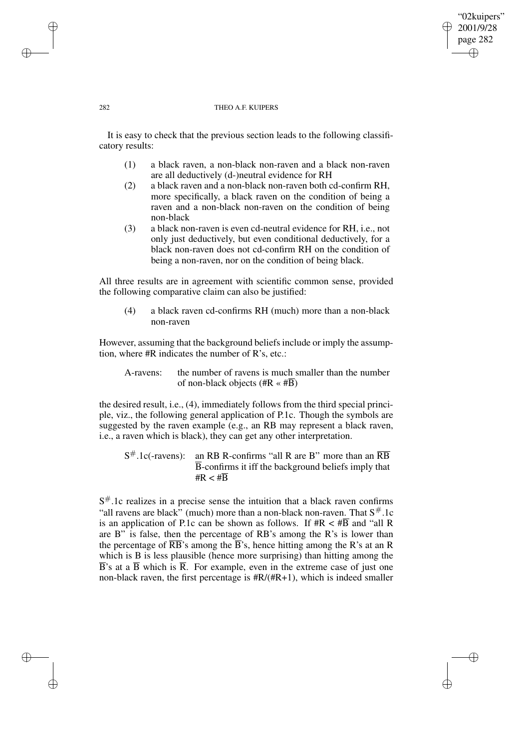It is easy to check that the previous section leads to the following classificatory results:

- (1) a black raven, a non-black non-raven and a black non-raven are all deductively (d-)neutral evidence for RH
- (2) a black raven and a non-black non-raven both cd-confirm RH, more specifically, a black raven on the condition of being a raven and a non-black non-raven on the condition of being non-black
- (3) a black non-raven is even cd-neutral evidence for RH, i.e., not only just deductively, but even conditional deductively, for a black non-raven does not cd-confirm RH on the condition of being a non-raven, nor on the condition of being black.

All three results are in agreement with scientific common sense, provided the following comparative claim can also be justified:

(4) a black raven cd-confirms RH (much) more than a non-black non-raven

However, assuming that the background beliefs include or imply the assumption, where #R indicates the number of R's, etc.:

A-ravens: the number of ravens is much smaller than the number of non-black objects (#R  $\ltimes$  # $\overline{B}$ )

the desired result, i.e., (4), immediately follows from the third special principle, viz., the following general application of P.1c. Though the symbols are suggested by the raven example (e.g., an RB may represent a black raven, i.e., a raven which is black), they can get any other interpretation.

 $S^{\#}$ .1c(-ravens): an RB R-confirms "all R are B" more than an  $\overline{RB}$ B-confirms it iff the background beliefs imply that #R  $<$  # $\overline{B}$ 

S #.1c realizes in a precise sense the intuition that a black raven confirms "all ravens are black" (much) more than a non-black non-raven. That  $S^{\#}$ .1c is an application of P.1c can be shown as follows. If  $\#R < \# \overline{B}$  and "all R are B" is false, then the percentage of RB's among the R's is lower than the percentage of  $\overline{RB}$ 's among the  $\overline{B}$ 's, hence hitting among the R's at an R which is B is less plausible (hence more surprising) than hitting among the  $\overline{B}$ 's at a  $\overline{B}$  which is  $\overline{R}$ . For example, even in the extreme case of just one non-black raven, the first percentage is #R/(#R+1), which is indeed smaller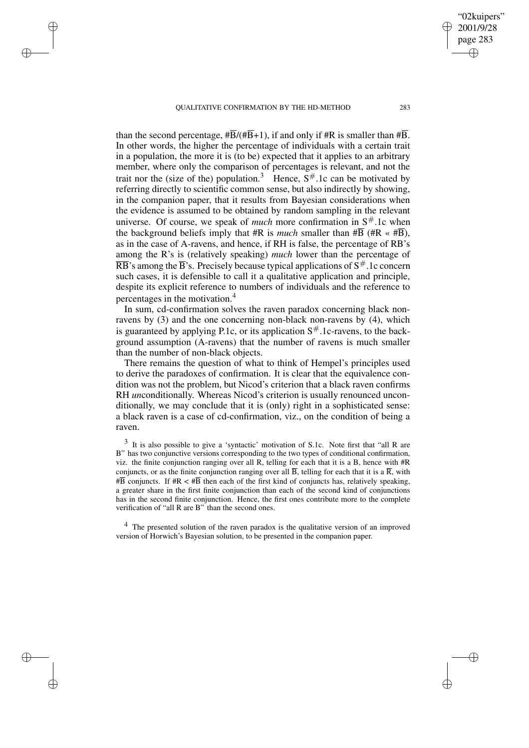than the second percentage,  $\#\overline{B}/(\#\overline{B}+1)$ , if and only if  $\#\overline{R}$  is smaller than  $\#\overline{B}$ . In other words, the higher the percentage of individuals with a certain trait in a population, the more it is (to be) expected that it applies to an arbitrary member, where only the comparison of percentages is relevant, and not the trait nor the (size of the) population.<sup>3</sup> Hence,  $S^{\#}$ .1c can be motivated by referring directly to scientific common sense, but also indirectly by showing, in the companion paper, that it results from Bayesian considerations when the evidence is assumed to be obtained by random sampling in the relevant universe. Of course, we speak of *much* more confirmation in  $S^*$ . Ic when the background beliefs imply that #R is *much* smaller than  $\sharp \overline{B}$  (#R  $\star$  # $\overline{B}$ ), as in the case of A-ravens, and hence, if RH is false, the percentage of RB's among the R's is (relatively speaking) *much* lower than the percentage of  $\overline{\text{RB}}$ 's among the  $\overline{\text{B}}$ 's. Precisely because typical applications of S#.1c concern such cases, it is defensible to call it a qualitative application and principle, despite its explicit reference to numbers of individuals and the reference to percentages in the motivation.<sup>4</sup>

In sum, cd-confirmation solves the raven paradox concerning black nonravens by (3) and the one concerning non-black non-ravens by (4), which is guaranteed by applying P.1c, or its application  $S^*$ .1c-ravens, to the background assumption (A-ravens) that the number of ravens is much smaller than the number of non-black objects.

There remains the question of what to think of Hempel's principles used to derive the paradoxes of confirmation. It is clear that the equivalence condition was not the problem, but Nicod's criterion that a black raven confirms RH *un*conditionally. Whereas Nicod's criterion is usually renounced unconditionally, we may conclude that it is (only) right in a sophisticated sense: a black raven is a case of cd-confirmation, viz., on the condition of being a raven.

<sup>3</sup> It is also possible to give a 'syntactic' motivation of S.1c. Note first that "all R are B" has two conjunctive versions corresponding to the two types of conditional confirmation, viz. the finite conjunction ranging over all R, telling for each that it is a B, hence with #R conjuncts, or as the finite conjunction ranging over all  $\overline{B}$ , telling for each that it is a  $\overline{R}$ , with  $\overline{AB}$  conjuncts. If  $\overline{AR}$  <  $\overline{AB}$  then each of the first kind of conjuncts has, relatively speaking, a greater share in the first finite conjunction than each of the second kind of conjunctions has in the second finite conjunction. Hence, the first ones contribute more to the complete verification of "all R are B" than the second ones.

<sup>4</sup> The presented solution of the raven paradox is the qualitative version of an improved version of Horwich's Bayesian solution, to be presented in the companion paper.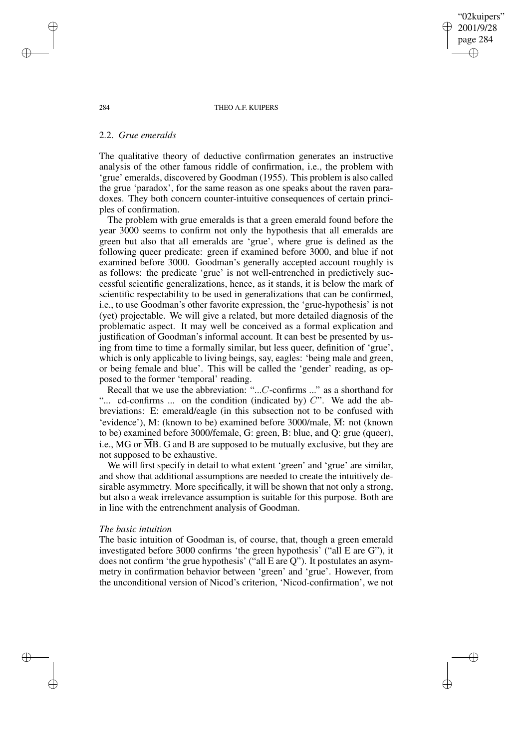## 2.2. *Grue emeralds*

The qualitative theory of deductive confirmation generates an instructive analysis of the other famous riddle of confirmation, i.e., the problem with 'grue' emeralds, discovered by Goodman (1955). This problem is also called the grue 'paradox', for the same reason as one speaks about the raven paradoxes. They both concern counter-intuitive consequences of certain principles of confirmation.

The problem with grue emeralds is that a green emerald found before the year 3000 seems to confirm not only the hypothesis that all emeralds are green but also that all emeralds are 'grue', where grue is defined as the following queer predicate: green if examined before 3000, and blue if not examined before 3000. Goodman's generally accepted account roughly is as follows: the predicate 'grue' is not well-entrenched in predictively successful scientific generalizations, hence, as it stands, it is below the mark of scientific respectability to be used in generalizations that can be confirmed, i.e., to use Goodman's other favorite expression, the 'grue-hypothesis' is not (yet) projectable. We will give a related, but more detailed diagnosis of the problematic aspect. It may well be conceived as a formal explication and justification of Goodman's informal account. It can best be presented by using from time to time a formally similar, but less queer, definition of 'grue', which is only applicable to living beings, say, eagles: 'being male and green, or being female and blue'. This will be called the 'gender' reading, as opposed to the former 'temporal' reading.

Recall that we use the abbreviation: "...C-confirms ..." as a shorthand for "... cd-confirms ... on the condition (indicated by)  $C$ ". We add the abbreviations: E: emerald/eagle (in this subsection not to be confused with 'evidence'), M: (known to be) examined before 3000/male,  $\overline{M}$ : not (known to be) examined before 3000/female, G: green, B: blue, and Q: grue (queer), i.e., MG or  $\overline{MB}$ . G and B are supposed to be mutually exclusive, but they are not supposed to be exhaustive.

We will first specify in detail to what extent 'green' and 'grue' are similar, and show that additional assumptions are needed to create the intuitively desirable asymmetry. More specifically, it will be shown that not only a strong, but also a weak irrelevance assumption is suitable for this purpose. Both are in line with the entrenchment analysis of Goodman.

### *The basic intuition*

The basic intuition of Goodman is, of course, that, though a green emerald investigated before 3000 confirms 'the green hypothesis' ("all E are G"), it does not confirm 'the grue hypothesis' ("all E are Q"). It postulates an asymmetry in confirmation behavior between 'green' and 'grue'. However, from the unconditional version of Nicod's criterion, 'Nicod-confirmation', we not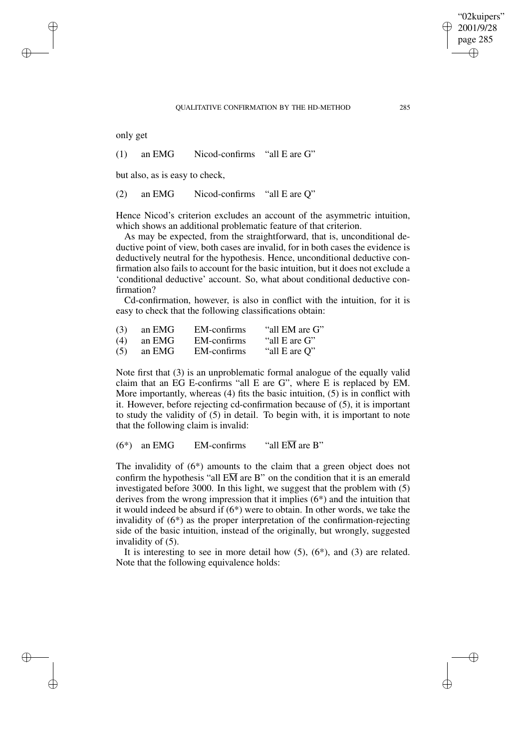only get

 $(1)$  an EMG Nicod-confirms "all E are G"

but also, as is easy to check,

(2) an EMG Nicod-confirms "all E are Q"

Hence Nicod's criterion excludes an account of the asymmetric intuition, which shows an additional problematic feature of that criterion.

As may be expected, from the straightforward, that is, unconditional deductive point of view, both cases are invalid, for in both cases the evidence is deductively neutral for the hypothesis. Hence, unconditional deductive confirmation also fails to account for the basic intuition, but it does not exclude a 'conditional deductive' account. So, what about conditional deductive confirmation?

Cd-confirmation, however, is also in conflict with the intuition, for it is easy to check that the following classifications obtain:

| (3) | an EMG | EM-confirms | "all EM are G" |
|-----|--------|-------------|----------------|
| (4) | an EMG | EM-confirms | "all E are G"  |
| (5) | an EMG | EM-confirms | "all E are Q"  |

Note first that (3) is an unproblematic formal analogue of the equally valid claim that an EG E-confirms "all E are G", where E is replaced by EM. More importantly, whereas (4) fits the basic intuition, (5) is in conflict with it. However, before rejecting cd-confirmation because of (5), it is important to study the validity of (5) in detail. To begin with, it is important to note that the following claim is invalid:

 $(6^*)$  an EMG EM-confirms "all EM are B"

The invalidity of (6\*) amounts to the claim that a green object does not confirm the hypothesis "all  $E\overline{M}$  are B" on the condition that it is an emerald investigated before 3000. In this light, we suggest that the problem with (5) derives from the wrong impression that it implies (6\*) and the intuition that it would indeed be absurd if (6\*) were to obtain. In other words, we take the invalidity of (6\*) as the proper interpretation of the confirmation-rejecting side of the basic intuition, instead of the originally, but wrongly, suggested invalidity of (5).

It is interesting to see in more detail how  $(5)$ ,  $(6^*)$ , and  $(3)$  are related. Note that the following equivalence holds: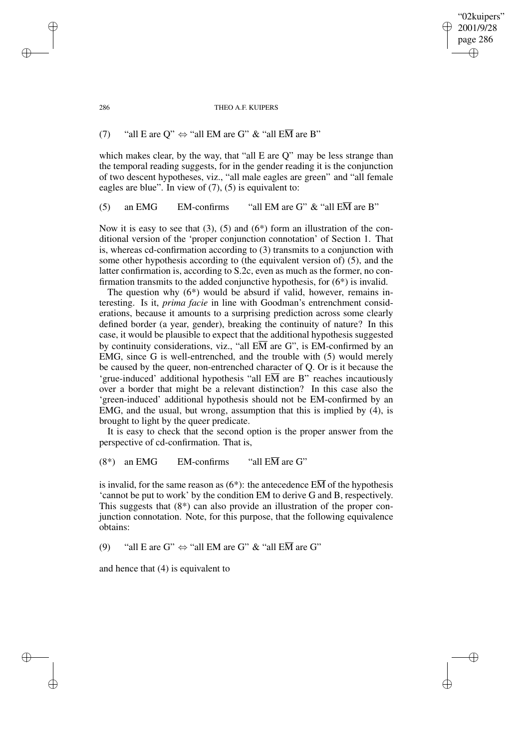(7) "all E are O"  $\Leftrightarrow$  "all EM are G" & "all EM are B"

which makes clear, by the way, that "all E are O" may be less strange than the temporal reading suggests, for in the gender reading it is the conjunction of two descent hypotheses, viz., "all male eagles are green" and "all female eagles are blue". In view of  $(7)$ ,  $(5)$  is equivalent to:

# (5) an EMG EM-confirms "all EM are G"  $\&$  "all EM are B"

Now it is easy to see that  $(3)$ ,  $(5)$  and  $(6^*)$  form an illustration of the conditional version of the 'proper conjunction connotation' of Section 1. That is, whereas cd-confirmation according to (3) transmits to a conjunction with some other hypothesis according to (the equivalent version of) (5), and the latter confirmation is, according to S.2c, even as much as the former, no confirmation transmits to the added conjunctive hypothesis, for (6\*) is invalid.

The question why  $(6^*)$  would be absurd if valid, however, remains interesting. Is it, *prima facie* in line with Goodman's entrenchment considerations, because it amounts to a surprising prediction across some clearly defined border (a year, gender), breaking the continuity of nature? In this case, it would be plausible to expect that the additional hypothesis suggested by continuity considerations, viz., "all  $E\overline{M}$  are G", is EM-confirmed by an EMG, since G is well-entrenched, and the trouble with (5) would merely be caused by the queer, non-entrenched character of Q. Or is it because the 'grue-induced' additional hypothesis "all  $E\overline{M}$  are B" reaches incautiously over a border that might be a relevant distinction? In this case also the 'green-induced' additional hypothesis should not be EM-confirmed by an EMG, and the usual, but wrong, assumption that this is implied by (4), is brought to light by the queer predicate.

It is easy to check that the second option is the proper answer from the perspective of cd-confirmation. That is,

 $(8^*)$  an EMG EM-confirms "all EM are G"

is invalid, for the same reason as  $(6^*)$ : the antecedence  $E\overline{M}$  of the hypothesis 'cannot be put to work' by the condition EM to derive G and B, respectively. This suggests that (8\*) can also provide an illustration of the proper conjunction connotation. Note, for this purpose, that the following equivalence obtains:

(9) "all E are G" 
$$
\Leftrightarrow
$$
 "all EM are G" & "all  $\overline{EM}$  are G"

and hence that (4) is equivalent to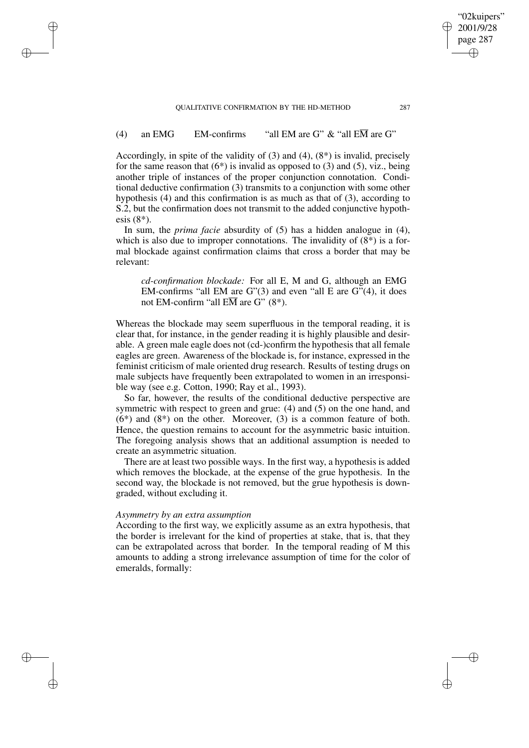#### QUALITATIVE CONFIRMATION BY THE HD-METHOD 287

(4) an EMG EM-confirms "all EM are G"  $\&$  "all EM are G"

Accordingly, in spite of the validity of  $(3)$  and  $(4)$ ,  $(8^*)$  is invalid, precisely for the same reason that  $(6^*)$  is invalid as opposed to  $(3)$  and  $(5)$ , viz., being another triple of instances of the proper conjunction connotation. Conditional deductive confirmation (3) transmits to a conjunction with some other hypothesis (4) and this confirmation is as much as that of (3), according to S.2, but the confirmation does not transmit to the added conjunctive hypothesis (8\*).

In sum, the *prima facie* absurdity of (5) has a hidden analogue in (4), which is also due to improper connotations. The invalidity of  $(8^*)$  is a formal blockade against confirmation claims that cross a border that may be relevant:

*cd-confirmation blockade:* For all E, M and G, although an EMG EM-confirms "all EM are G"(3) and even "all E are G"(4), it does not EM-confirm "all  $E\overline{M}$  are G" (8\*).

Whereas the blockade may seem superfluous in the temporal reading, it is clear that, for instance, in the gender reading it is highly plausible and desirable. A green male eagle does not (cd-)confirm the hypothesis that all female eagles are green. Awareness of the blockade is, for instance, expressed in the feminist criticism of male oriented drug research. Results of testing drugs on male subjects have frequently been extrapolated to women in an irresponsible way (see e.g. Cotton, 1990; Ray et al., 1993).

So far, however, the results of the conditional deductive perspective are symmetric with respect to green and grue: (4) and (5) on the one hand, and  $(6^*)$  and  $(8^*)$  on the other. Moreover,  $(3)$  is a common feature of both. Hence, the question remains to account for the asymmetric basic intuition. The foregoing analysis shows that an additional assumption is needed to create an asymmetric situation.

There are at least two possible ways. In the first way, a hypothesis is added which removes the blockade, at the expense of the grue hypothesis. In the second way, the blockade is not removed, but the grue hypothesis is downgraded, without excluding it.

### *Asymmetry by an extra assumption*

According to the first way, we explicitly assume as an extra hypothesis, that the border is irrelevant for the kind of properties at stake, that is, that they can be extrapolated across that border. In the temporal reading of M this amounts to adding a strong irrelevance assumption of time for the color of emeralds, formally: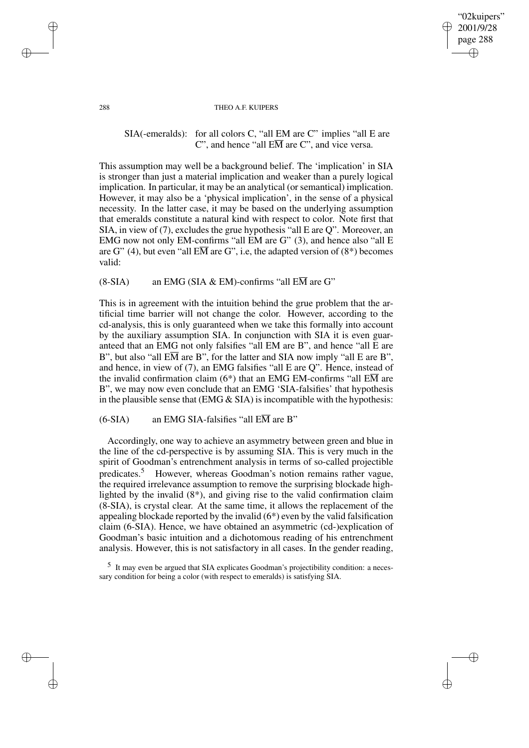### 288 THEO A.F. KUIPERS

SIA(-emeralds): for all colors C, "all EM are C" implies "all E are C", and hence "all  $E\overline{M}$  are C", and vice versa.

This assumption may well be a background belief. The 'implication' in SIA is stronger than just a material implication and weaker than a purely logical implication. In particular, it may be an analytical (or semantical) implication. However, it may also be a 'physical implication', in the sense of a physical necessity. In the latter case, it may be based on the underlying assumption that emeralds constitute a natural kind with respect to color. Note first that SIA, in view of (7), excludes the grue hypothesis "all E are Q". Moreover, an EMG now not only EM-confirms "all EM are G" (3), and hence also "all E are G" (4), but even "all  $\overline{EM}$  are G", i.e, the adapted version of (8<sup>\*</sup>) becomes valid:

## $(8-SIA)$  an EMG (SIA & EM)-confirms "all EM are G"

This is in agreement with the intuition behind the grue problem that the artificial time barrier will not change the color. However, according to the cd-analysis, this is only guaranteed when we take this formally into account by the auxiliary assumption SIA. In conjunction with SIA it is even guaranteed that an EMG not only falsifies "all EM are B", and hence "all E are B", but also "all  $E\overline{M}$  are B", for the latter and SIA now imply "all E are B", and hence, in view of (7), an EMG falsifies "all E are Q". Hence, instead of the invalid confirmation claim (6<sup>\*</sup>) that an EMG EM-confirms "all  $\overline{EM}$  are B", we may now even conclude that an EMG 'SIA-falsifies' that hypothesis in the plausible sense that (EMG  $&$  SIA) is incompatible with the hypothesis:

 $(6-SIA)$  an EMG SIA-falsifies "all EM are B"

Accordingly, one way to achieve an asymmetry between green and blue in the line of the cd-perspective is by assuming SIA. This is very much in the spirit of Goodman's entrenchment analysis in terms of so-called projectible predicates.<sup>5</sup> However, whereas Goodman's notion remains rather vague, the required irrelevance assumption to remove the surprising blockade highlighted by the invalid (8\*), and giving rise to the valid confirmation claim (8-SIA), is crystal clear. At the same time, it allows the replacement of the appealing blockade reported by the invalid (6\*) even by the valid falsification claim (6-SIA). Hence, we have obtained an asymmetric (cd-)explication of Goodman's basic intuition and a dichotomous reading of his entrenchment analysis. However, this is not satisfactory in all cases. In the gender reading,

5 It may even be argued that SIA explicates Goodman's projectibility condition: a necessary condition for being a color (with respect to emeralds) is satisfying SIA.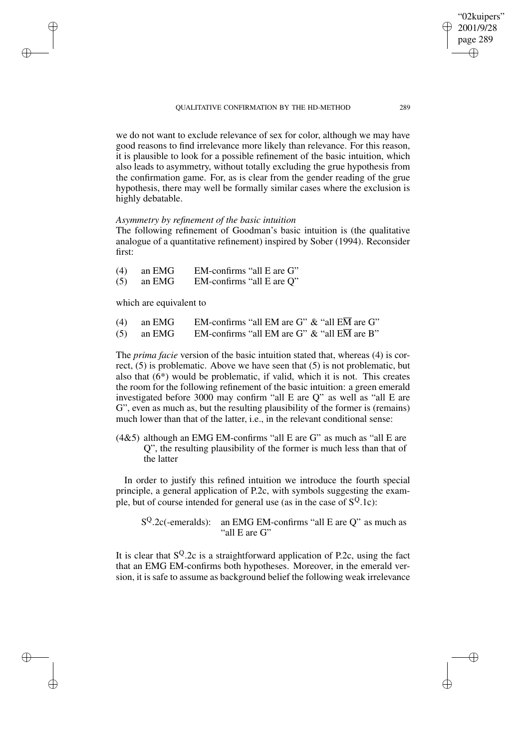we do not want to exclude relevance of sex for color, although we may have good reasons to find irrelevance more likely than relevance. For this reason, it is plausible to look for a possible refinement of the basic intuition, which also leads to asymmetry, without totally excluding the grue hypothesis from the confirmation game. For, as is clear from the gender reading of the grue hypothesis, there may well be formally similar cases where the exclusion is highly debatable.

## *Asymmetry by refinement of the basic intuition*

The following refinement of Goodman's basic intuition is (the qualitative analogue of a quantitative refinement) inspired by Sober (1994). Reconsider first:

| (4) | an EMG | $EM$ -confirms "all $E$ are $G$ " |
|-----|--------|-----------------------------------|
| (5) | an EMG | $EM$ -confirms "all E are $Q$ "   |

which are equivalent to

| (4) | an EMG | EM-confirms "all EM are $G$ " $\&$ "all EM are $G$ " |  |
|-----|--------|------------------------------------------------------|--|
| (5) | an EMG | EM-confirms "all EM are G" $\&$ "all EM are B"       |  |

The *prima facie* version of the basic intuition stated that, whereas (4) is correct, (5) is problematic. Above we have seen that (5) is not problematic, but also that (6\*) would be problematic, if valid, which it is not. This creates the room for the following refinement of the basic intuition: a green emerald investigated before 3000 may confirm "all E are Q" as well as "all E are G", even as much as, but the resulting plausibility of the former is (remains) much lower than that of the latter, i.e., in the relevant conditional sense:

 $(4&5)$  although an EMG EM-confirms "all E are G" as much as "all E are Q", the resulting plausibility of the former is much less than that of the latter

In order to justify this refined intuition we introduce the fourth special principle, a general application of P.2c, with symbols suggesting the example, but of course intended for general use (as in the case of  $S^Q$ .1c):

 $S^Q$ . 2c(-emeralds): an EMG EM-confirms "all E are  $Q$ " as much as "all E are G"

It is clear that  $S^Q$ . 2c is a straightforward application of P. 2c, using the fact that an EMG EM-confirms both hypotheses. Moreover, in the emerald version, it is safe to assume as background belief the following weak irrelevance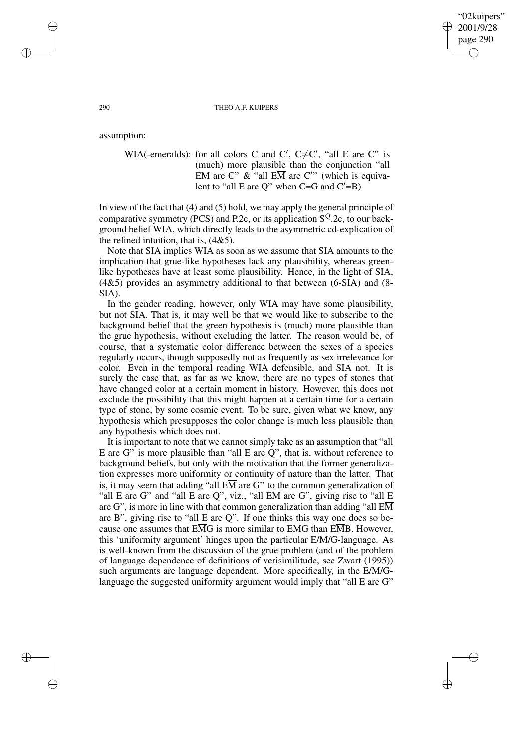assumption:

WIA(-emeralds): for all colors C and C',  $C \neq C'$ , "all E are C" is (much) more plausible than the conjunction "all EM are C"  $\&$  "all EM are C" (which is equivalent to "all E are Q" when  $C = G$  and  $C' = B$ )

In view of the fact that (4) and (5) hold, we may apply the general principle of comparative symmetry (PCS) and P.2c, or its application  $S^Q$ .2c, to our background belief WIA, which directly leads to the asymmetric cd-explication of the refined intuition, that is,  $(4&5)$ .

Note that SIA implies WIA as soon as we assume that SIA amounts to the implication that grue-like hypotheses lack any plausibility, whereas greenlike hypotheses have at least some plausibility. Hence, in the light of SIA, (4&5) provides an asymmetry additional to that between (6-SIA) and (8- SIA).

In the gender reading, however, only WIA may have some plausibility, but not SIA. That is, it may well be that we would like to subscribe to the background belief that the green hypothesis is (much) more plausible than the grue hypothesis, without excluding the latter. The reason would be, of course, that a systematic color difference between the sexes of a species regularly occurs, though supposedly not as frequently as sex irrelevance for color. Even in the temporal reading WIA defensible, and SIA not. It is surely the case that, as far as we know, there are no types of stones that have changed color at a certain moment in history. However, this does not exclude the possibility that this might happen at a certain time for a certain type of stone, by some cosmic event. To be sure, given what we know, any hypothesis which presupposes the color change is much less plausible than any hypothesis which does not.

It is important to note that we cannot simply take as an assumption that "all E are G" is more plausible than "all E are Q", that is, without reference to background beliefs, but only with the motivation that the former generalization expresses more uniformity or continuity of nature than the latter. That is, it may seem that adding "all  $E\overline{M}$  are G" to the common generalization of "all E are G" and "all E are Q", viz., "all EM are G", giving rise to "all E are G", is more in line with that common generalization than adding "all  $E\overline{M}$ are B", giving rise to "all E are Q". If one thinks this way one does so because one assumes that  $E\overline{M}G$  is more similar to EMG than EMB. However, this 'uniformity argument' hinges upon the particular E/M/G-language. As is well-known from the discussion of the grue problem (and of the problem of language dependence of definitions of verisimilitude, see Zwart (1995)) such arguments are language dependent. More specifically, in the E/M/Glanguage the suggested uniformity argument would imply that "all E are G"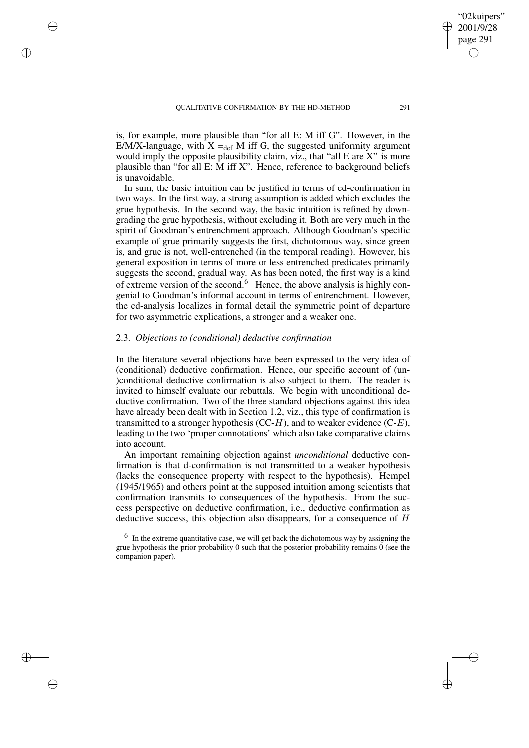is, for example, more plausible than "for all E: M iff G". However, in the E/M/X-language, with  $X =_{def} M$  iff G, the suggested uniformity argument would imply the opposite plausibility claim, viz., that "all E are X" is more plausible than "for all  $E: \tilde{M}$  iff X". Hence, reference to background beliefs is unavoidable.

In sum, the basic intuition can be justified in terms of cd-confirmation in two ways. In the first way, a strong assumption is added which excludes the grue hypothesis. In the second way, the basic intuition is refined by downgrading the grue hypothesis, without excluding it. Both are very much in the spirit of Goodman's entrenchment approach. Although Goodman's specific example of grue primarily suggests the first, dichotomous way, since green is, and grue is not, well-entrenched (in the temporal reading). However, his general exposition in terms of more or less entrenched predicates primarily suggests the second, gradual way. As has been noted, the first way is a kind of extreme version of the second.<sup>6</sup> Hence, the above analysis is highly congenial to Goodman's informal account in terms of entrenchment. However, the cd-analysis localizes in formal detail the symmetric point of departure for two asymmetric explications, a stronger and a weaker one.

### 2.3. *Objections to (conditional) deductive confirmation*

In the literature several objections have been expressed to the very idea of (conditional) deductive confirmation. Hence, our specific account of (un- )conditional deductive confirmation is also subject to them. The reader is invited to himself evaluate our rebuttals. We begin with unconditional deductive confirmation. Two of the three standard objections against this idea have already been dealt with in Section 1.2, viz., this type of confirmation is transmitted to a stronger hypothesis (CC-H), and to weaker evidence (C-E), leading to the two 'proper connotations' which also take comparative claims into account.

An important remaining objection against *unconditional* deductive confirmation is that d-confirmation is not transmitted to a weaker hypothesis (lacks the consequence property with respect to the hypothesis). Hempel (1945/1965) and others point at the supposed intuition among scientists that confirmation transmits to consequences of the hypothesis. From the success perspective on deductive confirmation, i.e., deductive confirmation as deductive success, this objection also disappears, for a consequence of H

 $6\;$  In the extreme quantitative case, we will get back the dichotomous way by assigning the grue hypothesis the prior probability 0 such that the posterior probability remains 0 (see the companion paper).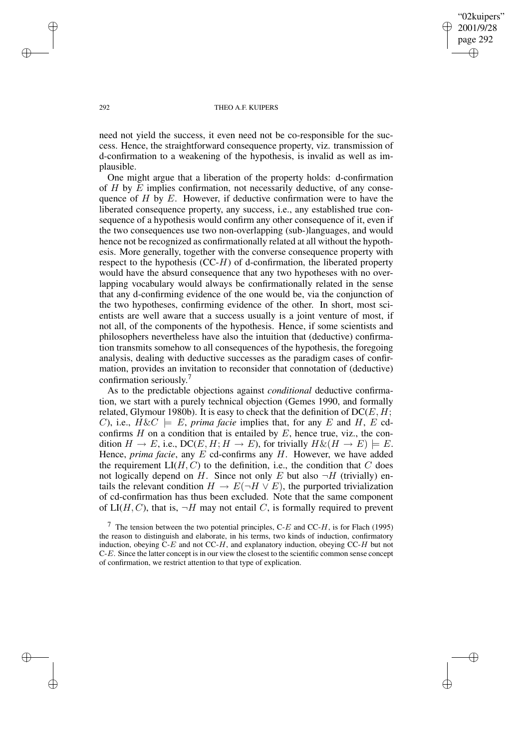need not yield the success, it even need not be co-responsible for the success. Hence, the straightforward consequence property, viz. transmission of d-confirmation to a weakening of the hypothesis, is invalid as well as implausible.

One might argue that a liberation of the property holds: d-confirmation of  $H$  by  $E$  implies confirmation, not necessarily deductive, of any consequence of  $H$  by  $E$ . However, if deductive confirmation were to have the liberated consequence property, any success, i.e., any established true consequence of a hypothesis would confirm any other consequence of it, even if the two consequences use two non-overlapping (sub-)languages, and would hence not be recognized as confirmationally related at all without the hypothesis. More generally, together with the converse consequence property with respect to the hypothesis  $(CC-H)$  of d-confirmation, the liberated property would have the absurd consequence that any two hypotheses with no overlapping vocabulary would always be confirmationally related in the sense that any d-confirming evidence of the one would be, via the conjunction of the two hypotheses, confirming evidence of the other. In short, most scientists are well aware that a success usually is a joint venture of most, if not all, of the components of the hypothesis. Hence, if some scientists and philosophers nevertheless have also the intuition that (deductive) confirmation transmits somehow to all consequences of the hypothesis, the foregoing analysis, dealing with deductive successes as the paradigm cases of confirmation, provides an invitation to reconsider that connotation of (deductive) confirmation seriously. 7

As to the predictable objections against *conditional* deductive confirmation, we start with a purely technical objection (Gemes 1990, and formally related, Glymour 1980b). It is easy to check that the definition of  $DC(E, H)$ . C), i.e.,  $H\&C \models E$ , *prima facie* implies that, for any E and H, E cdconfirms  $H$  on a condition that is entailed by  $E$ , hence true, viz., the condition  $H \to E$ , i.e., DC(E, H;  $H \to E$ ), for trivially  $H \& (H \to E) \models E$ . Hence, *prima facie*, any E cd-confirms any H. However, we have added the requirement  $LI(H, C)$  to the definition, i.e., the condition that C does not logically depend on H. Since not only E but also  $\neg H$  (trivially) entails the relevant condition  $H \to E(\neg H \lor E)$ , the purported trivialization of cd-confirmation has thus been excluded. Note that the same component of  $LI(H, C)$ , that is,  $\neg H$  may not entail C, is formally required to prevent

<sup>&</sup>lt;sup>7</sup> The tension between the two potential principles, C-E and CC-H, is for Flach (1995) the reason to distinguish and elaborate, in his terms, two kinds of induction, confirmatory induction, obeying  $C-E$  and not  $CC-H$ , and explanatory induction, obeying  $CC-H$  but not  $C-E$ . Since the latter concept is in our view the closest to the scientific common sense concept of confirmation, we restrict attention to that type of explication.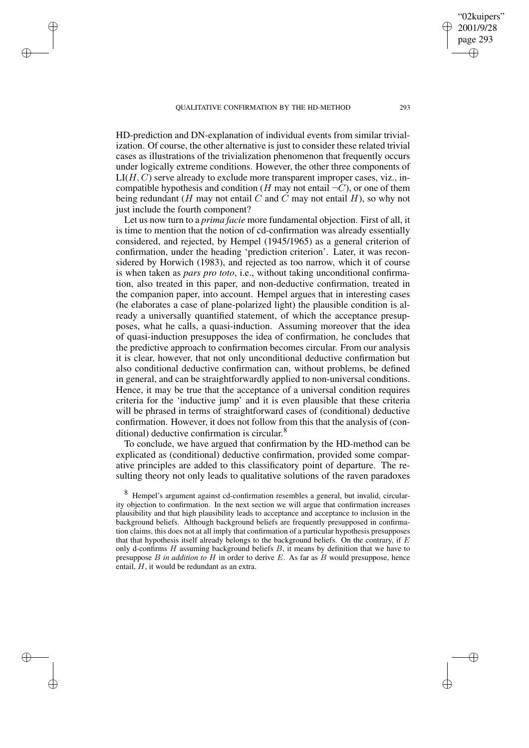HD-prediction and DN-explanation of individual events from similar trivialization. Of course, the other alternative is just to consider these related trivial cases as illustrations of the trivialization phenomenon that frequently occurs under logically extreme conditions. However, the other three components of  $LI(H, C)$  serve already to exclude more transparent improper cases, viz., incompatible hypothesis and condition (H may not entail  $\neg C$ ), or one of them being redundant (H may not entail C and C may not entail H), so why not just include the fourth component?

Let us now turn to a *prima facie* more fundamental objection. First of all, it is time to mention that the notion of cd-confirmation was already essentially considered, and rejected, by Hempel (1945/1965) as a general criterion of confirmation, under the heading 'prediction criterion'. Later, it was reconsidered by Horwich (1983), and rejected as too narrow, which it of course is when taken as *pars pro toto*, i.e., without taking unconditional confirmation, also treated in this paper, and non-deductive confirmation, treated in the companion paper, into account. Hempel argues that in interesting cases (he elaborates a case of plane-polarized light) the plausible condition is already a universally quantified statement, of which the acceptance presupposes, what he calls, a quasi-induction. Assuming moreover that the idea of quasi-induction presupposes the idea of confirmation, he concludes that the predictive approach to confirmation becomes circular. From our analysis it is clear, however, that not only unconditional deductive confirmation but also conditional deductive confirmation can, without problems, be defined in general, and can be straightforwardly applied to non-universal conditions. Hence, it may be true that the acceptance of a universal condition requires criteria for the 'inductive jump' and it is even plausible that these criteria will be phrased in terms of straightforward cases of (conditional) deductive confirmation. However, it does not follow from this that the analysis of (conditional) deductive confirmation is circular.<sup>8</sup>

To conclude, we have argued that confirmation by the HD-method can be explicated as (conditional) deductive confirmation, provided some comparative principles are added to this classificatory point of departure. The resulting theory not only leads to qualitative solutions of the raven paradoxes

<sup>8</sup> Hempel's argument against cd-confirmation resembles a general, but invalid, circularity objection to confirmation. In the next section we will argue that confirmation increases plausibility and that high plausibility leads to acceptance and acceptance to inclusion in the background beliefs. Although background beliefs are frequently presupposed in confirmation claims, this does not at all imply that confirmation of a particular hypothesis presupposes that that hypothesis itself already belongs to the background beliefs. On the contrary, if  $E$ only d-confirms  $H$  assuming background beliefs  $B$ , it means by definition that we have to presuppose B *in addition to* H in order to derive E. As far as B would presuppose, hence entail, H, it would be redundant as an extra.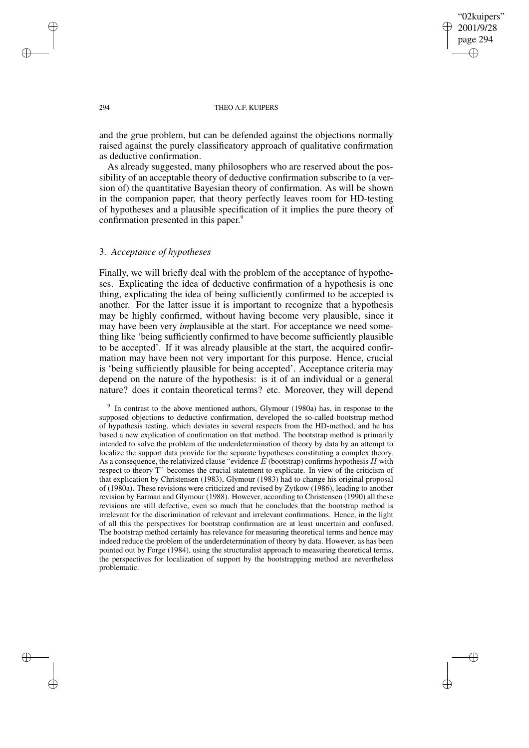and the grue problem, but can be defended against the objections normally raised against the purely classificatory approach of qualitative confirmation as deductive confirmation.

As already suggested, many philosophers who are reserved about the possibility of an acceptable theory of deductive confirmation subscribe to (a version of) the quantitative Bayesian theory of confirmation. As will be shown in the companion paper, that theory perfectly leaves room for HD-testing of hypotheses and a plausible specification of it implies the pure theory of confirmation presented in this paper.<sup>9</sup>

## 3. *Acceptance of hypotheses*

Finally, we will briefly deal with the problem of the acceptance of hypotheses. Explicating the idea of deductive confirmation of a hypothesis is one thing, explicating the idea of being sufficiently confirmed to be accepted is another. For the latter issue it is important to recognize that a hypothesis may be highly confirmed, without having become very plausible, since it may have been very *im*plausible at the start. For acceptance we need something like 'being sufficiently confirmed to have become sufficiently plausible to be accepted'. If it was already plausible at the start, the acquired confirmation may have been not very important for this purpose. Hence, crucial is 'being sufficiently plausible for being accepted'. Acceptance criteria may depend on the nature of the hypothesis: is it of an individual or a general nature? does it contain theoretical terms? etc. Moreover, they will depend

9 In contrast to the above mentioned authors, Glymour (1980a) has, in response to the supposed objections to deductive confirmation, developed the so-called bootstrap method of hypothesis testing, which deviates in several respects from the HD-method, and he has based a new explication of confirmation on that method. The bootstrap method is primarily intended to solve the problem of the underdetermination of theory by data by an attempt to localize the support data provide for the separate hypotheses constituting a complex theory. As a consequence, the relativized clause "evidence  $E$  (bootstrap) confirms hypothesis H with respect to theory T" becomes the crucial statement to explicate. In view of the criticism of that explication by Christensen (1983), Glymour (1983) had to change his original proposal of (1980a). These revisions were criticized and revised by Zytkow (1986), leading to another revision by Earman and Glymour (1988). However, according to Christensen (1990) all these revisions are still defective, even so much that he concludes that the bootstrap method is irrelevant for the discrimination of relevant and irrelevant confirmations. Hence, in the light of all this the perspectives for bootstrap confirmation are at least uncertain and confused. The bootstrap method certainly has relevance for measuring theoretical terms and hence may indeed reduce the problem of the underdetermination of theory by data. However, as has been pointed out by Forge (1984), using the structuralist approach to measuring theoretical terms, the perspectives for localization of support by the bootstrapping method are nevertheless problematic.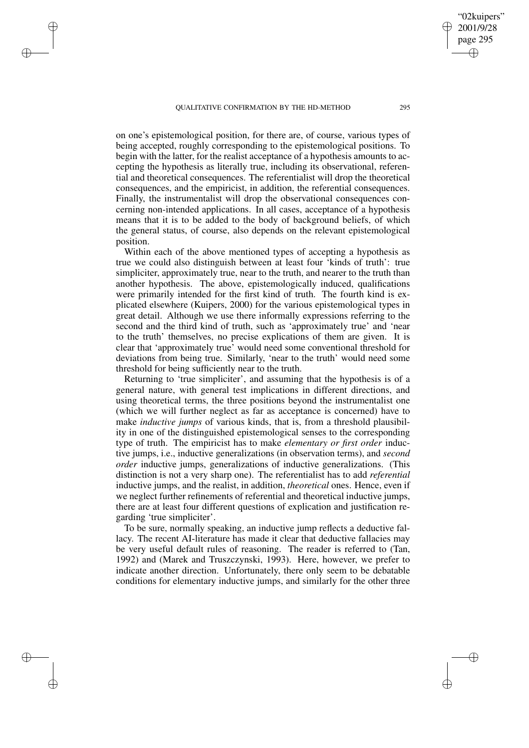on one's epistemological position, for there are, of course, various types of being accepted, roughly corresponding to the epistemological positions. To begin with the latter, for the realist acceptance of a hypothesis amounts to accepting the hypothesis as literally true, including its observational, referential and theoretical consequences. The referentialist will drop the theoretical consequences, and the empiricist, in addition, the referential consequences. Finally, the instrumentalist will drop the observational consequences concerning non-intended applications. In all cases, acceptance of a hypothesis means that it is to be added to the body of background beliefs, of which the general status, of course, also depends on the relevant epistemological position.

Within each of the above mentioned types of accepting a hypothesis as true we could also distinguish between at least four 'kinds of truth': true simpliciter, approximately true, near to the truth, and nearer to the truth than another hypothesis. The above, epistemologically induced, qualifications were primarily intended for the first kind of truth. The fourth kind is explicated elsewhere (Kuipers, 2000) for the various epistemological types in great detail. Although we use there informally expressions referring to the second and the third kind of truth, such as 'approximately true' and 'near to the truth' themselves, no precise explications of them are given. It is clear that 'approximately true' would need some conventional threshold for deviations from being true. Similarly, 'near to the truth' would need some threshold for being sufficiently near to the truth.

Returning to 'true simpliciter', and assuming that the hypothesis is of a general nature, with general test implications in different directions, and using theoretical terms, the three positions beyond the instrumentalist one (which we will further neglect as far as acceptance is concerned) have to make *inductive jumps* of various kinds, that is, from a threshold plausibility in one of the distinguished epistemological senses to the corresponding type of truth. The empiricist has to make *elementary or first order* inductive jumps, i.e., inductive generalizations (in observation terms), and *second order* inductive jumps, generalizations of inductive generalizations. (This distinction is not a very sharp one). The referentialist has to add *referential* inductive jumps, and the realist, in addition, *theoretical* ones. Hence, even if we neglect further refinements of referential and theoretical inductive jumps, there are at least four different questions of explication and justification regarding 'true simpliciter'.

To be sure, normally speaking, an inductive jump reflects a deductive fallacy. The recent AI-literature has made it clear that deductive fallacies may be very useful default rules of reasoning. The reader is referred to (Tan, 1992) and (Marek and Truszczynski, 1993). Here, however, we prefer to indicate another direction. Unfortunately, there only seem to be debatable conditions for elementary inductive jumps, and similarly for the other three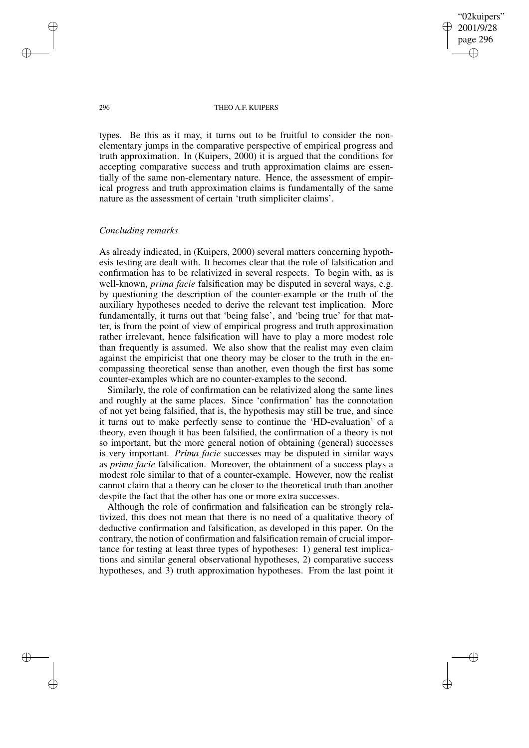296 THEO A.F. KUIPERS

types. Be this as it may, it turns out to be fruitful to consider the nonelementary jumps in the comparative perspective of empirical progress and truth approximation. In (Kuipers, 2000) it is argued that the conditions for accepting comparative success and truth approximation claims are essentially of the same non-elementary nature. Hence, the assessment of empirical progress and truth approximation claims is fundamentally of the same nature as the assessment of certain 'truth simpliciter claims'.

### *Concluding remarks*

As already indicated, in (Kuipers, 2000) several matters concerning hypothesis testing are dealt with. It becomes clear that the role of falsification and confirmation has to be relativized in several respects. To begin with, as is well-known, *prima facie* falsification may be disputed in several ways, e.g. by questioning the description of the counter-example or the truth of the auxiliary hypotheses needed to derive the relevant test implication. More fundamentally, it turns out that 'being false', and 'being true' for that matter, is from the point of view of empirical progress and truth approximation rather irrelevant, hence falsification will have to play a more modest role than frequently is assumed. We also show that the realist may even claim against the empiricist that one theory may be closer to the truth in the encompassing theoretical sense than another, even though the first has some counter-examples which are no counter-examples to the second.

Similarly, the role of confirmation can be relativized along the same lines and roughly at the same places. Since 'confirmation' has the connotation of not yet being falsified, that is, the hypothesis may still be true, and since it turns out to make perfectly sense to continue the 'HD-evaluation' of a theory, even though it has been falsified, the confirmation of a theory is not so important, but the more general notion of obtaining (general) successes is very important. *Prima facie* successes may be disputed in similar ways as *prima facie* falsification. Moreover, the obtainment of a success plays a modest role similar to that of a counter-example. However, now the realist cannot claim that a theory can be closer to the theoretical truth than another despite the fact that the other has one or more extra successes.

Although the role of confirmation and falsification can be strongly relativized, this does not mean that there is no need of a qualitative theory of deductive confirmation and falsification, as developed in this paper. On the contrary, the notion of confirmation and falsification remain of crucial importance for testing at least three types of hypotheses: 1) general test implications and similar general observational hypotheses, 2) comparative success hypotheses, and 3) truth approximation hypotheses. From the last point it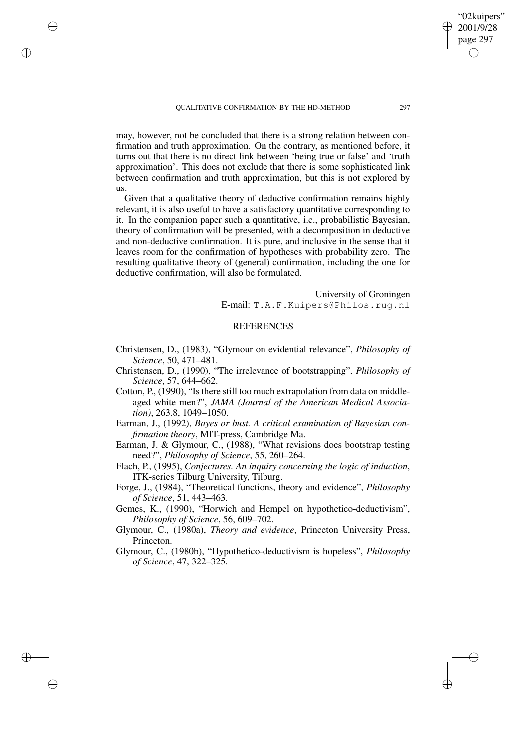may, however, not be concluded that there is a strong relation between confirmation and truth approximation. On the contrary, as mentioned before, it turns out that there is no direct link between 'being true or false' and 'truth approximation'. This does not exclude that there is some sophisticated link between confirmation and truth approximation, but this is not explored by us.

Given that a qualitative theory of deductive confirmation remains highly relevant, it is also useful to have a satisfactory quantitative corresponding to it. In the companion paper such a quantitative, i.c., probabilistic Bayesian, theory of confirmation will be presented, with a decomposition in deductive and non-deductive confirmation. It is pure, and inclusive in the sense that it leaves room for the confirmation of hypotheses with probability zero. The resulting qualitative theory of (general) confirmation, including the one for deductive confirmation, will also be formulated.

University of Groningen

E-mail: T.A.F.Kuipers@Philos.rug.nl

## **REFERENCES**

- Christensen, D., (1983), "Glymour on evidential relevance", *Philosophy of Science*, 50, 471–481.
- Christensen, D., (1990), "The irrelevance of bootstrapping", *Philosophy of Science*, 57, 644–662.
- Cotton, P., (1990), "Is there still too much extrapolation from data on middleaged white men?", *JAMA (Journal of the American Medical Association)*, 263.8, 1049–1050.
- Earman, J., (1992), *Bayes or bust. A critical examination of Bayesian confirmation theory*, MIT-press, Cambridge Ma.
- Earman, J. & Glymour, C., (1988), "What revisions does bootstrap testing need?", *Philosophy of Science*, 55, 260–264.
- Flach, P., (1995), *Conjectures. An inquiry concerning the logic of induction*, ITK-series Tilburg University, Tilburg.
- Forge, J., (1984), "Theoretical functions, theory and evidence", *Philosophy of Science*, 51, 443–463.
- Gemes, K., (1990), "Horwich and Hempel on hypothetico-deductivism", *Philosophy of Science*, 56, 609–702.
- Glymour, C., (1980a), *Theory and evidence*, Princeton University Press, Princeton.
- Glymour, C., (1980b), "Hypothetico-deductivism is hopeless", *Philosophy of Science*, 47, 322–325.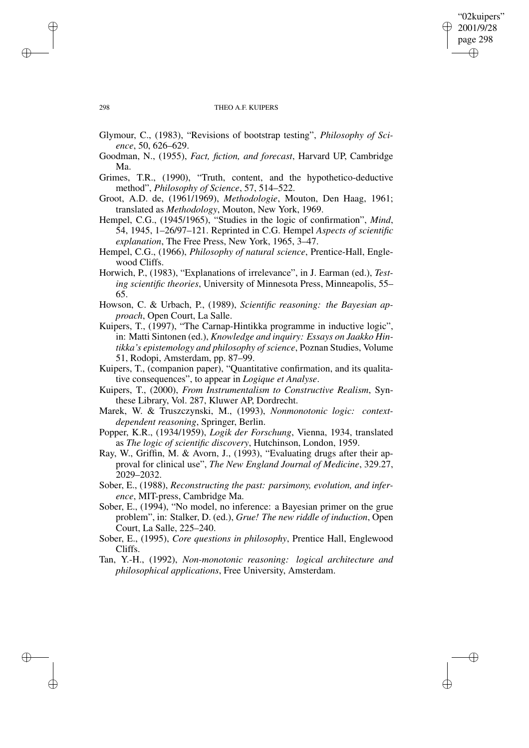- Glymour, C., (1983), "Revisions of bootstrap testing", *Philosophy of Science*, 50, 626–629.
- Goodman, N., (1955), *Fact, fiction, and forecast*, Harvard UP, Cambridge Ma.
- Grimes, T.R., (1990), "Truth, content, and the hypothetico-deductive method", *Philosophy of Science*, 57, 514–522.
- Groot, A.D. de, (1961/1969), *Methodologie*, Mouton, Den Haag, 1961; translated as *Methodology*, Mouton, New York, 1969.
- Hempel, C.G., (1945/1965), "Studies in the logic of confirmation", *Mind*, 54, 1945, 1–26/97–121. Reprinted in C.G. Hempel *Aspects of scientific explanation*, The Free Press, New York, 1965, 3–47.
- Hempel, C.G., (1966), *Philosophy of natural science*, Prentice-Hall, Englewood Cliffs.
- Horwich, P., (1983), "Explanations of irrelevance", in J. Earman (ed.), *Testing scientific theories*, University of Minnesota Press, Minneapolis, 55– 65.
- Howson, C. & Urbach, P., (1989), *Scientific reasoning: the Bayesian approach*, Open Court, La Salle.
- Kuipers, T., (1997), "The Carnap-Hintikka programme in inductive logic", in: Matti Sintonen (ed.), *Knowledge and inquiry: Essays on Jaakko Hintikka's epistemology and philosophy of science*, Poznan Studies, Volume 51, Rodopi, Amsterdam, pp. 87–99.
- Kuipers, T., (companion paper), "Quantitative confirmation, and its qualitative consequences", to appear in *Logique et Analyse*.
- Kuipers, T., (2000), *From Instrumentalism to Constructive Realism*, Synthese Library, Vol. 287, Kluwer AP, Dordrecht.
- Marek, W. & Truszczynski, M., (1993), *Nonmonotonic logic: contextdependent reasoning*, Springer, Berlin.
- Popper, K.R., (1934/1959), *Logik der Forschung*, Vienna, 1934, translated as *The logic of scientific discovery*, Hutchinson, London, 1959.
- Ray, W., Griffin, M. & Avorn, J., (1993), "Evaluating drugs after their approval for clinical use", *The New England Journal of Medicine*, 329.27, 2029–2032.
- Sober, E., (1988), *Reconstructing the past: parsimony, evolution, and inference*, MIT-press, Cambridge Ma.
- Sober, E., (1994), "No model, no inference: a Bayesian primer on the grue problem", in: Stalker, D. (ed.), *Grue! The new riddle of induction*, Open Court, La Salle, 225–240.
- Sober, E., (1995), *Core questions in philosophy*, Prentice Hall, Englewood Cliffs.
- Tan, Y.-H., (1992), *Non-monotonic reasoning: logical architecture and philosophical applications*, Free University, Amsterdam.